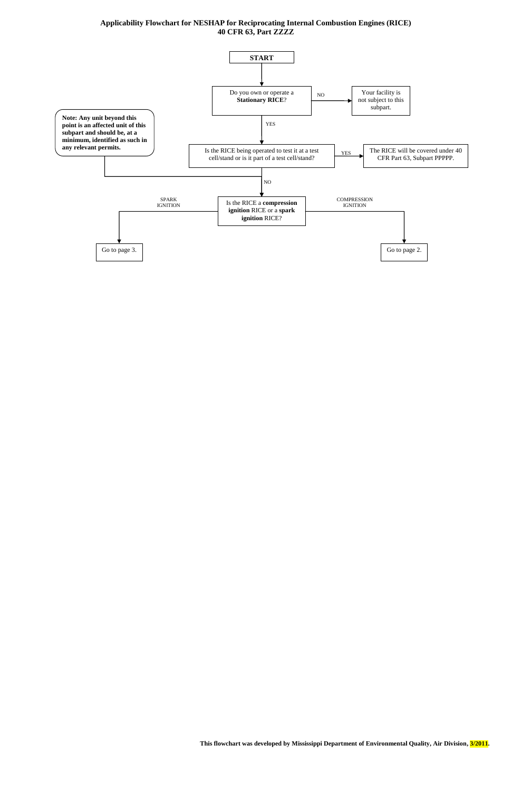## **Applicability Flowchart for NESHAP for Reciprocating Internal Combustion Engines (RICE) 40 CFR 63, Part ZZZZ**

**This flowchart was developed by Mississippi Department of Environmental Quality, Air Division, 3/2011.** 

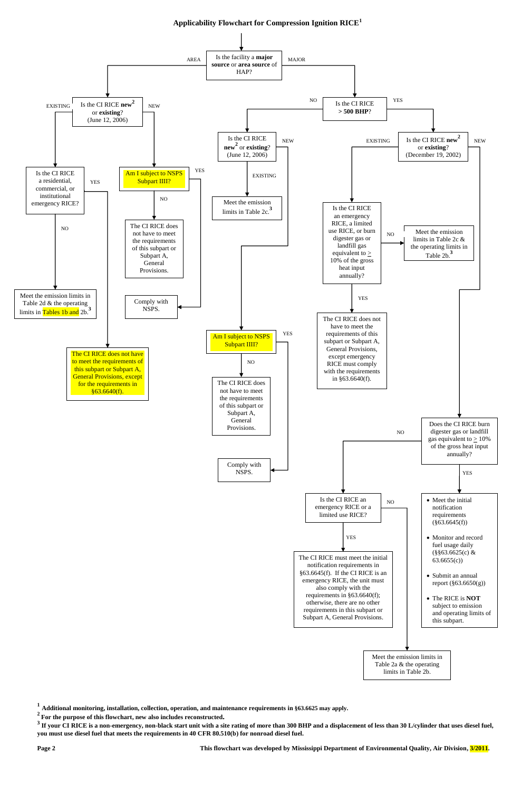**1 Additional monitoring, installation, collection, operation, and maintenance requirements in §63.6625 may apply.**

**<sup>2</sup>For the purpose of this flowchart, new also includes reconstructed.**

<sup>3</sup> If your CI RICE is a non-emergency, non-black start unit with a site rating of more than 300 BHP and a displacement of less than 30 L/cylinder that uses diesel fuel, **you must use diesel fuel that meets the requirements in 40 CFR 80.510(b) for nonroad diesel fuel.**

**Page 2 This flowchart was developed by Mississippi Department of Environmental Quality, Air Division, 3/2011.** 

**Applicability Flowchart for Compression Ignition RICE<sup>1</sup>**